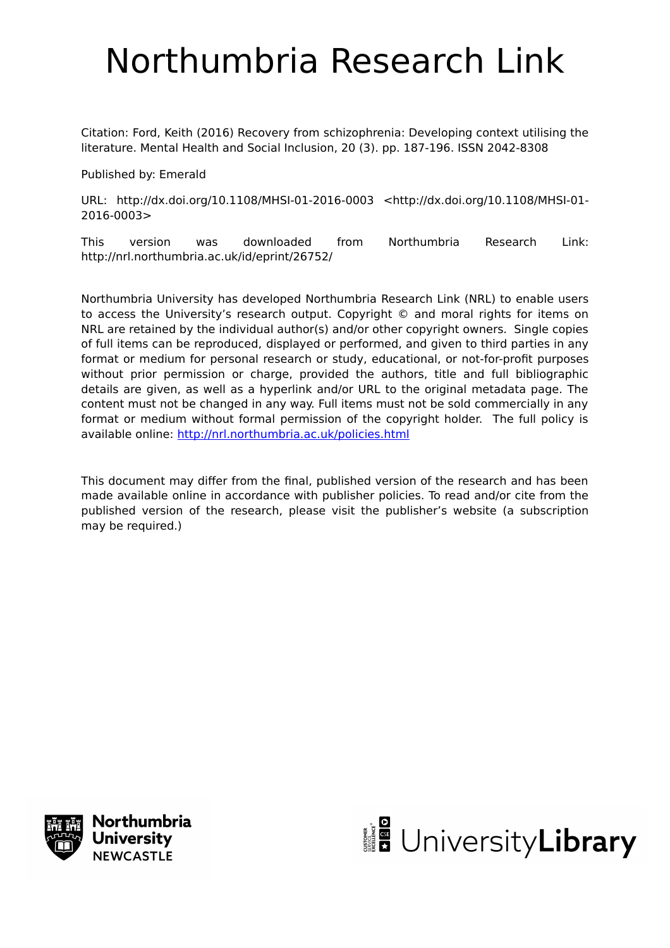## Northumbria Research Link

Citation: Ford, Keith (2016) Recovery from schizophrenia: Developing context utilising the literature. Mental Health and Social Inclusion, 20 (3). pp. 187-196. ISSN 2042-8308

Published by: Emerald

URL: http://dx.doi.org/10.1108/MHSI-01-2016-0003 <http://dx.doi.org/10.1108/MHSI-01- 2016-0003>

This version was downloaded from Northumbria Research Link: http://nrl.northumbria.ac.uk/id/eprint/26752/

Northumbria University has developed Northumbria Research Link (NRL) to enable users to access the University's research output. Copyright © and moral rights for items on NRL are retained by the individual author(s) and/or other copyright owners. Single copies of full items can be reproduced, displayed or performed, and given to third parties in any format or medium for personal research or study, educational, or not-for-profit purposes without prior permission or charge, provided the authors, title and full bibliographic details are given, as well as a hyperlink and/or URL to the original metadata page. The content must not be changed in any way. Full items must not be sold commercially in any format or medium without formal permission of the copyright holder. The full policy is available online:<http://nrl.northumbria.ac.uk/policies.html>

This document may differ from the final, published version of the research and has been made available online in accordance with publisher policies. To read and/or cite from the published version of the research, please visit the publisher's website (a subscription may be required.)



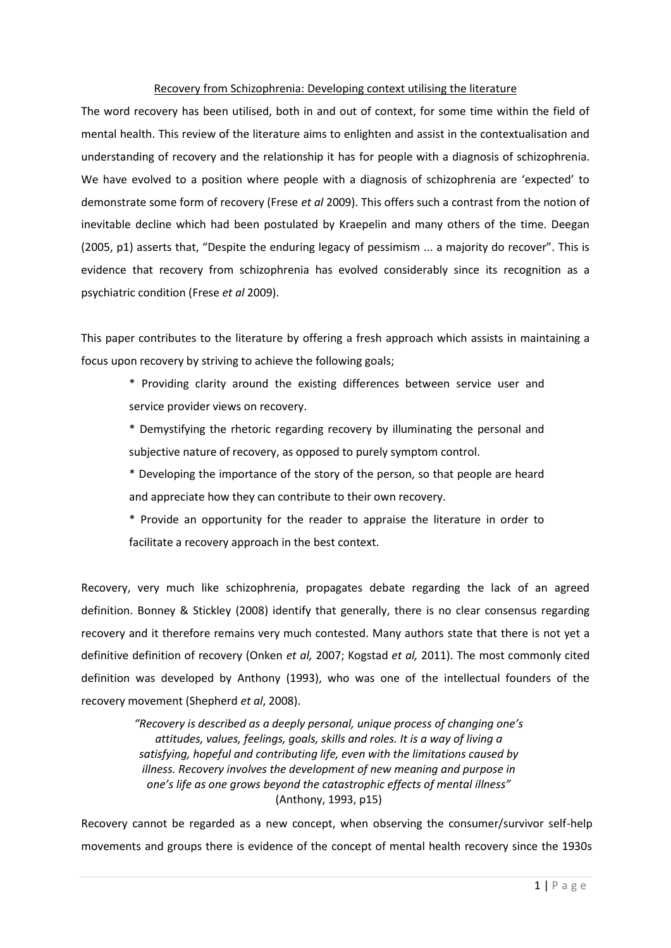## Recovery from Schizophrenia: Developing context utilising the literature

The word recovery has been utilised, both in and out of context, for some time within the field of mental health. This review of the literature aims to enlighten and assist in the contextualisation and understanding of recovery and the relationship it has for people with a diagnosis of schizophrenia. We have evolved to a position where people with a diagnosis of schizophrenia are 'expected' to demonstrate some form of recovery (Frese *et al* 2009). This offers such a contrast from the notion of inevitable decline which had been postulated by Kraepelin and many others of the time. Deegan (2005, p1) asserts that, "Despite the enduring legacy of pessimism ... a majority do recover". This is evidence that recovery from schizophrenia has evolved considerably since its recognition as a psychiatric condition (Frese *et al* 2009).

This paper contributes to the literature by offering a fresh approach which assists in maintaining a focus upon recovery by striving to achieve the following goals;

- \* Providing clarity around the existing differences between service user and service provider views on recovery.
- \* Demystifying the rhetoric regarding recovery by illuminating the personal and subjective nature of recovery, as opposed to purely symptom control.
- \* Developing the importance of the story of the person, so that people are heard and appreciate how they can contribute to their own recovery.
- \* Provide an opportunity for the reader to appraise the literature in order to facilitate a recovery approach in the best context.

Recovery, very much like schizophrenia, propagates debate regarding the lack of an agreed definition. Bonney & Stickley (2008) identify that generally, there is no clear consensus regarding recovery and it therefore remains very much contested. Many authors state that there is not yet a definitive definition of recovery (Onken *et al,* 2007; Kogstad *et al,* 2011). The most commonly cited definition was developed by Anthony (1993), who was one of the intellectual founders of the recovery movement (Shepherd *et al*, 2008).

> *"Recovery is described as a deeply personal, unique process of changing one's attitudes, values, feelings, goals, skills and roles. It is a way of living a satisfying, hopeful and contributing life, even with the limitations caused by illness. Recovery involves the development of new meaning and purpose in one's life as one grows beyond the catastrophic effects of mental illness"* (Anthony, 1993, p15)

Recovery cannot be regarded as a new concept, when observing the consumer/survivor self-help movements and groups there is evidence of the concept of mental health recovery since the 1930s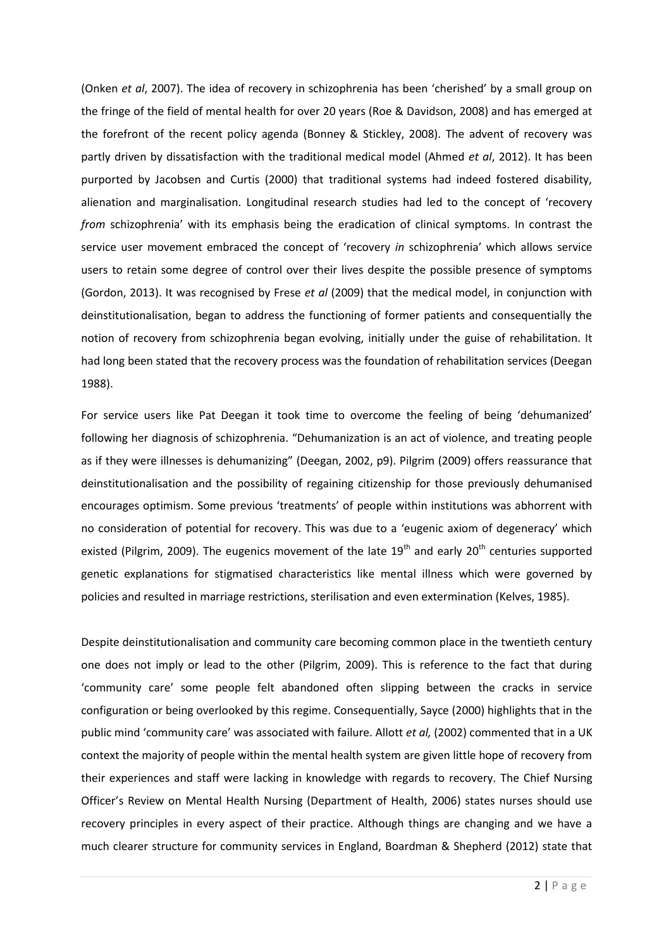(Onken *et al*, 2007). The idea of recovery in schizophrenia has been 'cherished' by a small group on the fringe of the field of mental health for over 20 years (Roe & Davidson, 2008) and has emerged at the forefront of the recent policy agenda (Bonney & Stickley, 2008). The advent of recovery was partly driven by dissatisfaction with the traditional medical model (Ahmed *et al*, 2012). It has been purported by Jacobsen and Curtis (2000) that traditional systems had indeed fostered disability, alienation and marginalisation. Longitudinal research studies had led to the concept of 'recovery *from* schizophrenia' with its emphasis being the eradication of clinical symptoms. In contrast the service user movement embraced the concept of 'recovery *in* schizophrenia' which allows service users to retain some degree of control over their lives despite the possible presence of symptoms (Gordon, 2013). It was recognised by Frese *et al* (2009) that the medical model, in conjunction with deinstitutionalisation, began to address the functioning of former patients and consequentially the notion of recovery from schizophrenia began evolving, initially under the guise of rehabilitation. It had long been stated that the recovery process was the foundation of rehabilitation services (Deegan 1988).

For service users like Pat Deegan it took time to overcome the feeling of being 'dehumanized' following her diagnosis of schizophrenia. "Dehumanization is an act of violence, and treating people as if they were illnesses is dehumanizing" (Deegan, 2002, p9). Pilgrim (2009) offers reassurance that deinstitutionalisation and the possibility of regaining citizenship for those previously dehumanised encourages optimism. Some previous 'treatments' of people within institutions was abhorrent with no consideration of potential for recovery. This was due to a 'eugenic axiom of degeneracy' which existed (Pilgrim, 2009). The eugenics movement of the late  $19<sup>th</sup>$  and early 20<sup>th</sup> centuries supported genetic explanations for stigmatised characteristics like mental illness which were governed by policies and resulted in marriage restrictions, sterilisation and even extermination (Kelves, 1985).

Despite deinstitutionalisation and community care becoming common place in the twentieth century one does not imply or lead to the other (Pilgrim, 2009). This is reference to the fact that during 'community care' some people felt abandoned often slipping between the cracks in service configuration or being overlooked by this regime. Consequentially, Sayce (2000) highlights that in the public mind 'community care' was associated with failure. Allott *et al,* (2002) commented that in a UK context the majority of people within the mental health system are given little hope of recovery from their experiences and staff were lacking in knowledge with regards to recovery. The Chief Nursing Officer's Review on Mental Health Nursing (Department of Health, 2006) states nurses should use recovery principles in every aspect of their practice. Although things are changing and we have a much clearer structure for community services in England, Boardman & Shepherd (2012) state that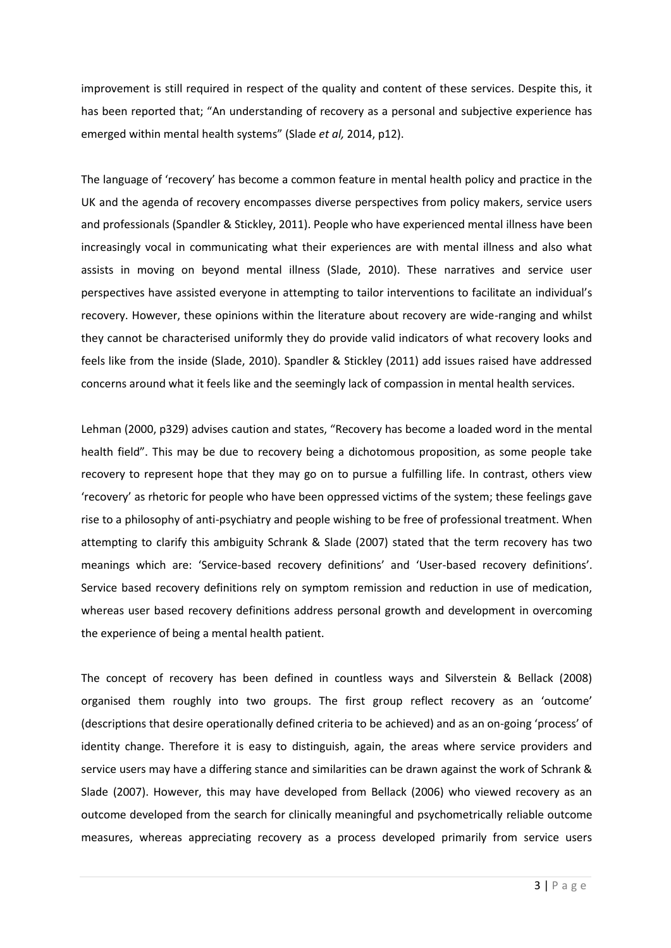improvement is still required in respect of the quality and content of these services. Despite this, it has been reported that; "An understanding of recovery as a personal and subjective experience has emerged within mental health systems" (Slade *et al,* 2014, p12).

The language of 'recovery' has become a common feature in mental health policy and practice in the UK and the agenda of recovery encompasses diverse perspectives from policy makers, service users and professionals (Spandler & Stickley, 2011). People who have experienced mental illness have been increasingly vocal in communicating what their experiences are with mental illness and also what assists in moving on beyond mental illness (Slade, 2010). These narratives and service user perspectives have assisted everyone in attempting to tailor interventions to facilitate an individual's recovery. However, these opinions within the literature about recovery are wide-ranging and whilst they cannot be characterised uniformly they do provide valid indicators of what recovery looks and feels like from the inside (Slade, 2010). Spandler & Stickley (2011) add issues raised have addressed concerns around what it feels like and the seemingly lack of compassion in mental health services.

Lehman (2000, p329) advises caution and states, "Recovery has become a loaded word in the mental health field". This may be due to recovery being a dichotomous proposition, as some people take recovery to represent hope that they may go on to pursue a fulfilling life. In contrast, others view 'recovery' as rhetoric for people who have been oppressed victims of the system; these feelings gave rise to a philosophy of anti-psychiatry and people wishing to be free of professional treatment. When attempting to clarify this ambiguity Schrank & Slade (2007) stated that the term recovery has two meanings which are: 'Service-based recovery definitions' and 'User-based recovery definitions'. Service based recovery definitions rely on symptom remission and reduction in use of medication, whereas user based recovery definitions address personal growth and development in overcoming the experience of being a mental health patient.

The concept of recovery has been defined in countless ways and Silverstein & Bellack (2008) organised them roughly into two groups. The first group reflect recovery as an 'outcome' (descriptions that desire operationally defined criteria to be achieved) and as an on-going 'process' of identity change. Therefore it is easy to distinguish, again, the areas where service providers and service users may have a differing stance and similarities can be drawn against the work of Schrank & Slade (2007). However, this may have developed from Bellack (2006) who viewed recovery as an outcome developed from the search for clinically meaningful and psychometrically reliable outcome measures, whereas appreciating recovery as a process developed primarily from service users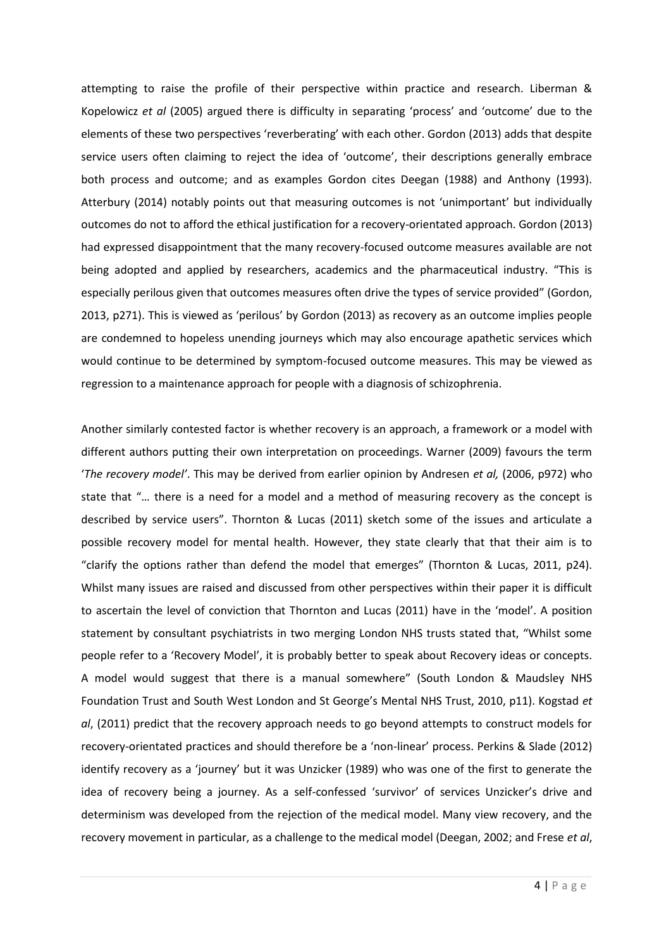attempting to raise the profile of their perspective within practice and research. Liberman & Kopelowicz *et al* (2005) argued there is difficulty in separating 'process' and 'outcome' due to the elements of these two perspectives 'reverberating' with each other. Gordon (2013) adds that despite service users often claiming to reject the idea of 'outcome', their descriptions generally embrace both process and outcome; and as examples Gordon cites Deegan (1988) and Anthony (1993). Atterbury (2014) notably points out that measuring outcomes is not 'unimportant' but individually outcomes do not to afford the ethical justification for a recovery-orientated approach. Gordon (2013) had expressed disappointment that the many recovery-focused outcome measures available are not being adopted and applied by researchers, academics and the pharmaceutical industry. "This is especially perilous given that outcomes measures often drive the types of service provided" (Gordon, 2013, p271). This is viewed as 'perilous' by Gordon (2013) as recovery as an outcome implies people are condemned to hopeless unending journeys which may also encourage apathetic services which would continue to be determined by symptom-focused outcome measures. This may be viewed as regression to a maintenance approach for people with a diagnosis of schizophrenia.

Another similarly contested factor is whether recovery is an approach, a framework or a model with different authors putting their own interpretation on proceedings. Warner (2009) favours the term '*The recovery model'*. This may be derived from earlier opinion by Andresen *et al,* (2006, p972) who state that "… there is a need for a model and a method of measuring recovery as the concept is described by service users". Thornton & Lucas (2011) sketch some of the issues and articulate a possible recovery model for mental health. However, they state clearly that that their aim is to "clarify the options rather than defend the model that emerges" (Thornton & Lucas, 2011, p24). Whilst many issues are raised and discussed from other perspectives within their paper it is difficult to ascertain the level of conviction that Thornton and Lucas (2011) have in the 'model'. A position statement by consultant psychiatrists in two merging London NHS trusts stated that, "Whilst some people refer to a 'Recovery Model', it is probably better to speak about Recovery ideas or concepts. A model would suggest that there is a manual somewhere" (South London & Maudsley NHS Foundation Trust and South West London and St George's Mental NHS Trust, 2010, p11). Kogstad *et al*, (2011) predict that the recovery approach needs to go beyond attempts to construct models for recovery-orientated practices and should therefore be a 'non-linear' process. Perkins & Slade (2012) identify recovery as a 'journey' but it was Unzicker (1989) who was one of the first to generate the idea of recovery being a journey. As a self-confessed 'survivor' of services Unzicker's drive and determinism was developed from the rejection of the medical model. Many view recovery, and the recovery movement in particular, as a challenge to the medical model (Deegan, 2002; and Frese *et al*,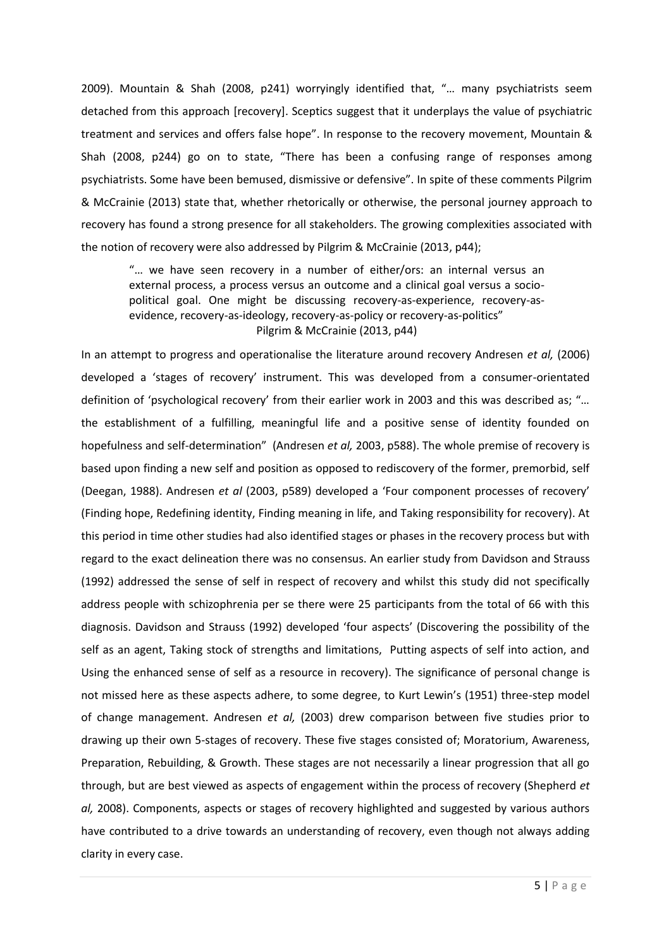2009). Mountain & Shah (2008, p241) worryingly identified that, "… many psychiatrists seem detached from this approach [recovery]. Sceptics suggest that it underplays the value of psychiatric treatment and services and offers false hope". In response to the recovery movement, Mountain & Shah (2008, p244) go on to state, "There has been a confusing range of responses among psychiatrists. Some have been bemused, dismissive or defensive". In spite of these comments Pilgrim & McCrainie (2013) state that, whether rhetorically or otherwise, the personal journey approach to recovery has found a strong presence for all stakeholders. The growing complexities associated with the notion of recovery were also addressed by Pilgrim & McCrainie (2013, p44);

"… we have seen recovery in a number of either/ors: an internal versus an external process, a process versus an outcome and a clinical goal versus a sociopolitical goal. One might be discussing recovery-as-experience, recovery-asevidence, recovery-as-ideology, recovery-as-policy or recovery-as-politics" Pilgrim & McCrainie (2013, p44)

In an attempt to progress and operationalise the literature around recovery Andresen *et al,* (2006) developed a 'stages of recovery' instrument. This was developed from a consumer-orientated definition of 'psychological recovery' from their earlier work in 2003 and this was described as; "… the establishment of a fulfilling, meaningful life and a positive sense of identity founded on hopefulness and self-determination" (Andresen *et al,* 2003, p588). The whole premise of recovery is based upon finding a new self and position as opposed to rediscovery of the former, premorbid, self (Deegan, 1988). Andresen *et al* (2003, p589) developed a 'Four component processes of recovery' (Finding hope, Redefining identity, Finding meaning in life, and Taking responsibility for recovery). At this period in time other studies had also identified stages or phases in the recovery process but with regard to the exact delineation there was no consensus. An earlier study from Davidson and Strauss (1992) addressed the sense of self in respect of recovery and whilst this study did not specifically address people with schizophrenia per se there were 25 participants from the total of 66 with this diagnosis. Davidson and Strauss (1992) developed 'four aspects' (Discovering the possibility of the self as an agent, Taking stock of strengths and limitations, Putting aspects of self into action, and Using the enhanced sense of self as a resource in recovery). The significance of personal change is not missed here as these aspects adhere, to some degree, to Kurt Lewin's (1951) three-step model of change management. Andresen *et al,* (2003) drew comparison between five studies prior to drawing up their own 5-stages of recovery. These five stages consisted of; Moratorium, Awareness, Preparation, Rebuilding, & Growth. These stages are not necessarily a linear progression that all go through, but are best viewed as aspects of engagement within the process of recovery (Shepherd *et al,* 2008). Components, aspects or stages of recovery highlighted and suggested by various authors have contributed to a drive towards an understanding of recovery, even though not always adding clarity in every case.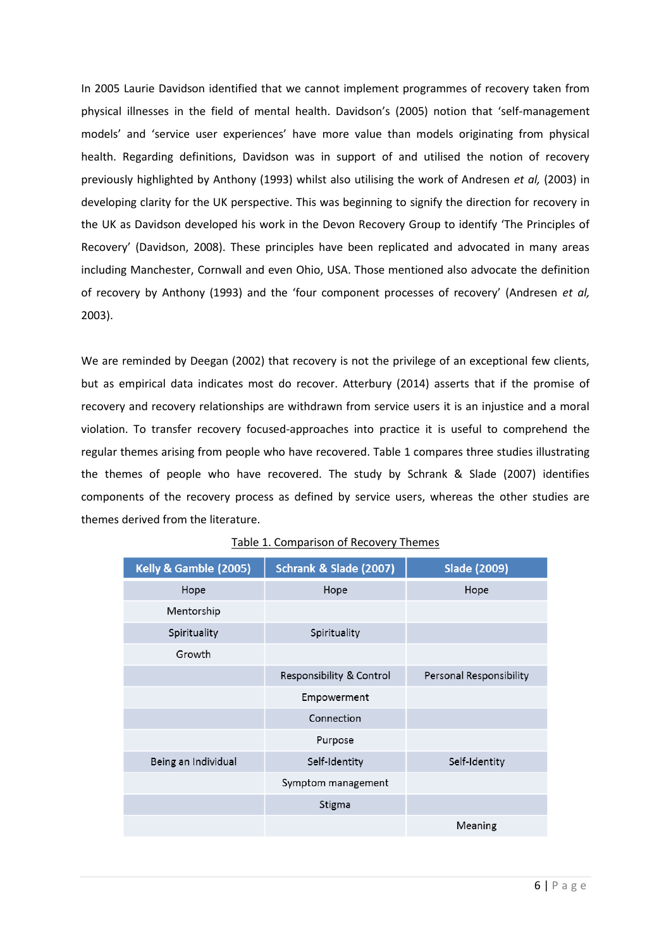In 2005 Laurie Davidson identified that we cannot implement programmes of recovery taken from physical illnesses in the field of mental health. Davidson's (2005) notion that 'self-management models' and 'service user experiences' have more value than models originating from physical health. Regarding definitions, Davidson was in support of and utilised the notion of recovery previously highlighted by Anthony (1993) whilst also utilising the work of Andresen *et al,* (2003) in developing clarity for the UK perspective. This was beginning to signify the direction for recovery in the UK as Davidson developed his work in the Devon Recovery Group to identify 'The Principles of Recovery' (Davidson, 2008). These principles have been replicated and advocated in many areas including Manchester, Cornwall and even Ohio, USA. Those mentioned also advocate the definition of recovery by Anthony (1993) and the 'four component processes of recovery' (Andresen *et al,* 2003).

We are reminded by Deegan (2002) that recovery is not the privilege of an exceptional few clients, but as empirical data indicates most do recover. Atterbury (2014) asserts that if the promise of recovery and recovery relationships are withdrawn from service users it is an injustice and a moral violation. To transfer recovery focused-approaches into practice it is useful to comprehend the regular themes arising from people who have recovered. Table 1 compares three studies illustrating the themes of people who have recovered. The study by Schrank & Slade (2007) identifies components of the recovery process as defined by service users, whereas the other studies are themes derived from the literature.

| Kelly & Gamble (2005) | Schrank & Slade (2007)   | <b>Slade (2009)</b>     |
|-----------------------|--------------------------|-------------------------|
| Hope                  | Hope                     | Hope                    |
| Mentorship            |                          |                         |
| Spirituality          | Spirituality             |                         |
| Growth                |                          |                         |
|                       | Responsibility & Control | Personal Responsibility |
|                       | Empowerment              |                         |
|                       | Connection               |                         |
|                       | Purpose                  |                         |
| Being an Individual   | Self-Identity            | Self-Identity           |
|                       | Symptom management       |                         |
|                       | Stigma                   |                         |
|                       |                          | Meaning                 |

## Table 1. Comparison of Recovery Themes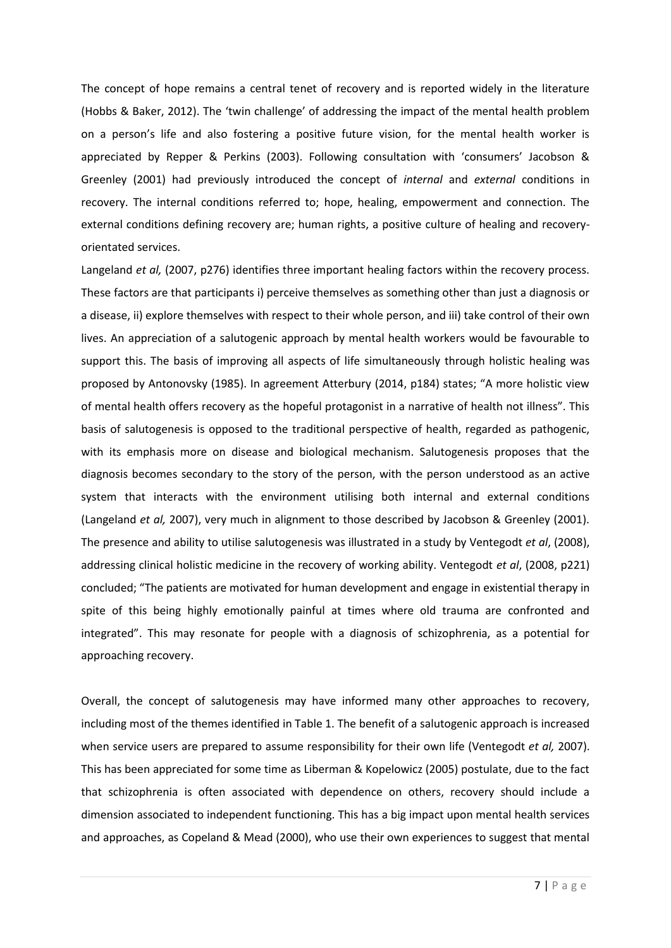The concept of hope remains a central tenet of recovery and is reported widely in the literature (Hobbs & Baker, 2012). The 'twin challenge' of addressing the impact of the mental health problem on a person's life and also fostering a positive future vision, for the mental health worker is appreciated by Repper & Perkins (2003). Following consultation with 'consumers' Jacobson & Greenley (2001) had previously introduced the concept of *internal* and *external* conditions in recovery. The internal conditions referred to; hope, healing, empowerment and connection. The external conditions defining recovery are; human rights, a positive culture of healing and recoveryorientated services.

Langeland *et al,* (2007, p276) identifies three important healing factors within the recovery process. These factors are that participants i) perceive themselves as something other than just a diagnosis or a disease, ii) explore themselves with respect to their whole person, and iii) take control of their own lives. An appreciation of a salutogenic approach by mental health workers would be favourable to support this. The basis of improving all aspects of life simultaneously through holistic healing was proposed by Antonovsky (1985). In agreement Atterbury (2014, p184) states; "A more holistic view of mental health offers recovery as the hopeful protagonist in a narrative of health not illness". This basis of salutogenesis is opposed to the traditional perspective of health, regarded as pathogenic, with its emphasis more on disease and biological mechanism. Salutogenesis proposes that the diagnosis becomes secondary to the story of the person, with the person understood as an active system that interacts with the environment utilising both internal and external conditions (Langeland *et al,* 2007), very much in alignment to those described by Jacobson & Greenley (2001). The presence and ability to utilise salutogenesis was illustrated in a study by Ventegodt *et al*, (2008), addressing clinical holistic medicine in the recovery of working ability. Ventegodt *et al*, (2008, p221) concluded; "The patients are motivated for human development and engage in existential therapy in spite of this being highly emotionally painful at times where old trauma are confronted and integrated". This may resonate for people with a diagnosis of schizophrenia, as a potential for approaching recovery.

Overall, the concept of salutogenesis may have informed many other approaches to recovery, including most of the themes identified in Table 1. The benefit of a salutogenic approach is increased when service users are prepared to assume responsibility for their own life (Ventegodt *et al,* 2007). This has been appreciated for some time as Liberman & Kopelowicz (2005) postulate, due to the fact that schizophrenia is often associated with dependence on others, recovery should include a dimension associated to independent functioning. This has a big impact upon mental health services and approaches, as Copeland & Mead (2000), who use their own experiences to suggest that mental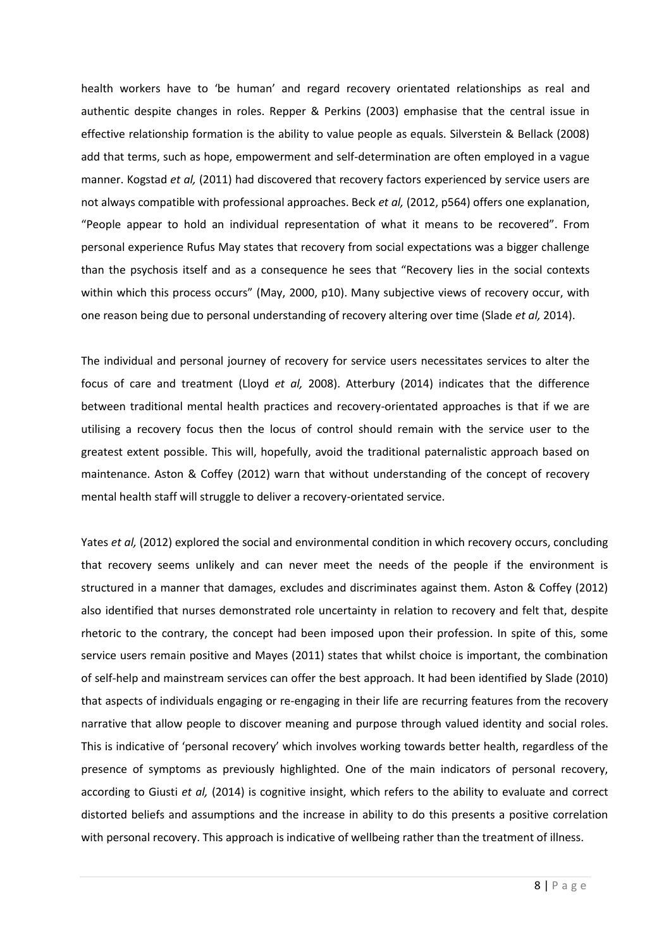health workers have to 'be human' and regard recovery orientated relationships as real and authentic despite changes in roles. Repper & Perkins (2003) emphasise that the central issue in effective relationship formation is the ability to value people as equals. Silverstein & Bellack (2008) add that terms, such as hope, empowerment and self-determination are often employed in a vague manner. Kogstad *et al,* (2011) had discovered that recovery factors experienced by service users are not always compatible with professional approaches. Beck *et al,* (2012, p564) offers one explanation, "People appear to hold an individual representation of what it means to be recovered". From personal experience Rufus May states that recovery from social expectations was a bigger challenge than the psychosis itself and as a consequence he sees that "Recovery lies in the social contexts within which this process occurs" (May, 2000, p10). Many subjective views of recovery occur, with one reason being due to personal understanding of recovery altering over time (Slade *et al,* 2014).

The individual and personal journey of recovery for service users necessitates services to alter the focus of care and treatment (Lloyd *et al,* 2008). Atterbury (2014) indicates that the difference between traditional mental health practices and recovery-orientated approaches is that if we are utilising a recovery focus then the locus of control should remain with the service user to the greatest extent possible. This will, hopefully, avoid the traditional paternalistic approach based on maintenance. Aston & Coffey (2012) warn that without understanding of the concept of recovery mental health staff will struggle to deliver a recovery-orientated service.

Yates *et al,* (2012) explored the social and environmental condition in which recovery occurs, concluding that recovery seems unlikely and can never meet the needs of the people if the environment is structured in a manner that damages, excludes and discriminates against them. Aston & Coffey (2012) also identified that nurses demonstrated role uncertainty in relation to recovery and felt that, despite rhetoric to the contrary, the concept had been imposed upon their profession. In spite of this, some service users remain positive and Mayes (2011) states that whilst choice is important, the combination of self-help and mainstream services can offer the best approach. It had been identified by Slade (2010) that aspects of individuals engaging or re-engaging in their life are recurring features from the recovery narrative that allow people to discover meaning and purpose through valued identity and social roles. This is indicative of 'personal recovery' which involves working towards better health, regardless of the presence of symptoms as previously highlighted. One of the main indicators of personal recovery, according to Giusti *et al,* (2014) is cognitive insight, which refers to the ability to evaluate and correct distorted beliefs and assumptions and the increase in ability to do this presents a positive correlation with personal recovery. This approach is indicative of wellbeing rather than the treatment of illness.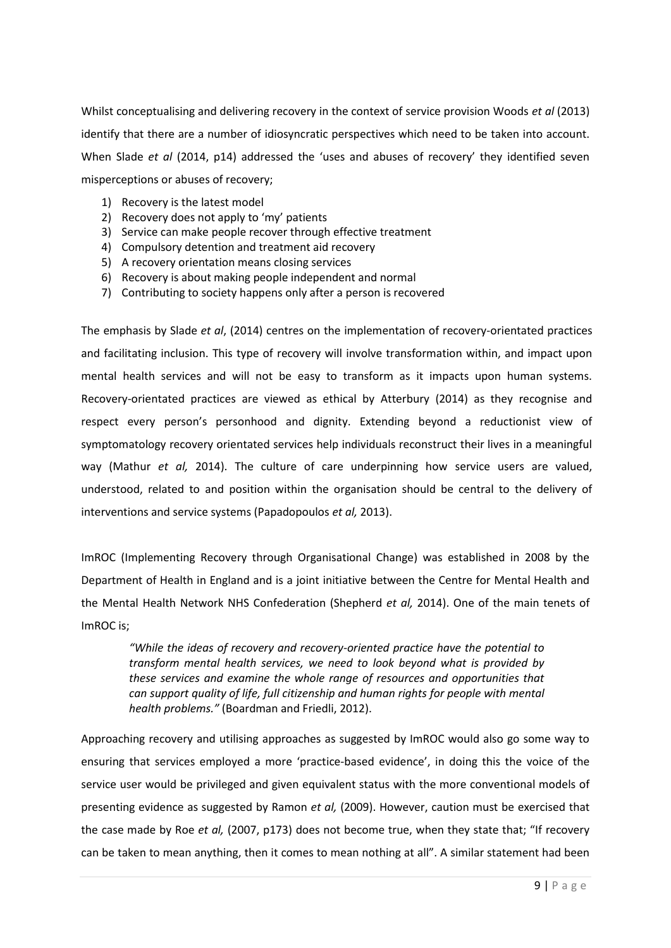Whilst conceptualising and delivering recovery in the context of service provision Woods *et al* (2013) identify that there are a number of idiosyncratic perspectives which need to be taken into account. When Slade *et al* (2014, p14) addressed the 'uses and abuses of recovery' they identified seven misperceptions or abuses of recovery;

- 1) Recovery is the latest model
- 2) Recovery does not apply to 'my' patients
- 3) Service can make people recover through effective treatment
- 4) Compulsory detention and treatment aid recovery
- 5) A recovery orientation means closing services
- 6) Recovery is about making people independent and normal
- 7) Contributing to society happens only after a person is recovered

The emphasis by Slade *et al*, (2014) centres on the implementation of recovery-orientated practices and facilitating inclusion. This type of recovery will involve transformation within, and impact upon mental health services and will not be easy to transform as it impacts upon human systems. Recovery-orientated practices are viewed as ethical by Atterbury (2014) as they recognise and respect every person's personhood and dignity. Extending beyond a reductionist view of symptomatology recovery orientated services help individuals reconstruct their lives in a meaningful way (Mathur *et al,* 2014). The culture of care underpinning how service users are valued, understood, related to and position within the organisation should be central to the delivery of interventions and service systems (Papadopoulos *et al,* 2013).

ImROC (Implementing Recovery through Organisational Change) was established in 2008 by the Department of Health in England and is a joint initiative between the Centre for Mental Health and the Mental Health Network NHS Confederation (Shepherd *et al,* 2014). One of the main tenets of ImROC is;

*"While the ideas of recovery and recovery-oriented practice have the potential to transform mental health services, we need to look beyond what is provided by these services and examine the whole range of resources and opportunities that can support quality of life, full citizenship and human rights for people with mental health problems."* (Boardman and Friedli, 2012).

Approaching recovery and utilising approaches as suggested by ImROC would also go some way to ensuring that services employed a more 'practice-based evidence', in doing this the voice of the service user would be privileged and given equivalent status with the more conventional models of presenting evidence as suggested by Ramon *et al,* (2009). However, caution must be exercised that the case made by Roe *et al,* (2007, p173) does not become true, when they state that; "If recovery can be taken to mean anything, then it comes to mean nothing at all". A similar statement had been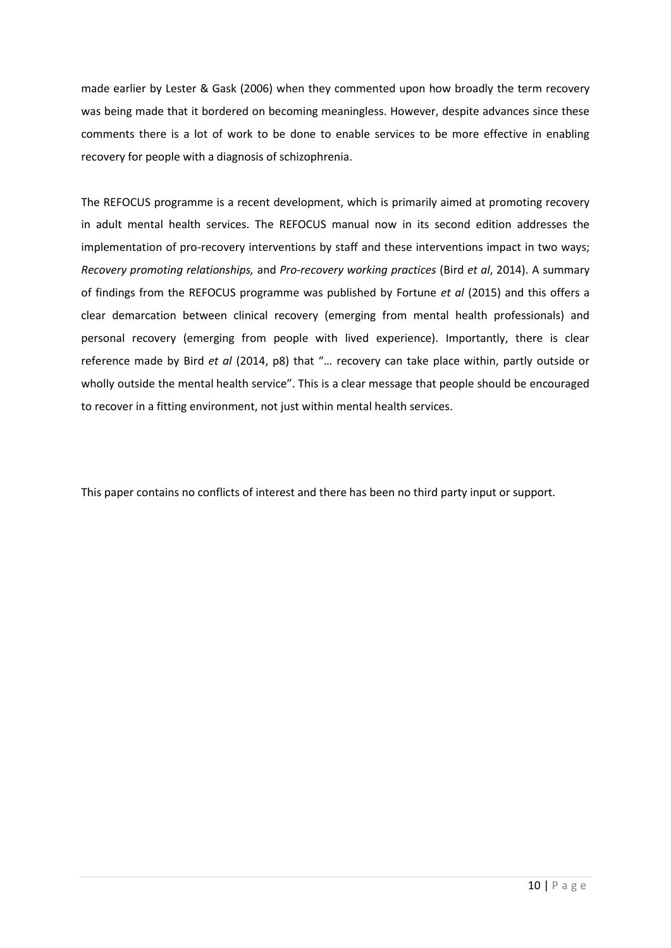made earlier by Lester & Gask (2006) when they commented upon how broadly the term recovery was being made that it bordered on becoming meaningless. However, despite advances since these comments there is a lot of work to be done to enable services to be more effective in enabling recovery for people with a diagnosis of schizophrenia.

The REFOCUS programme is a recent development, which is primarily aimed at promoting recovery in adult mental health services. The REFOCUS manual now in its second edition addresses the implementation of pro-recovery interventions by staff and these interventions impact in two ways; *Recovery promoting relationships,* and *Pro-recovery working practices* (Bird *et al*, 2014). A summary of findings from the REFOCUS programme was published by Fortune *et al* (2015) and this offers a clear demarcation between clinical recovery (emerging from mental health professionals) and personal recovery (emerging from people with lived experience). Importantly, there is clear reference made by Bird *et al* (2014, p8) that "… recovery can take place within, partly outside or wholly outside the mental health service". This is a clear message that people should be encouraged to recover in a fitting environment, not just within mental health services.

This paper contains no conflicts of interest and there has been no third party input or support.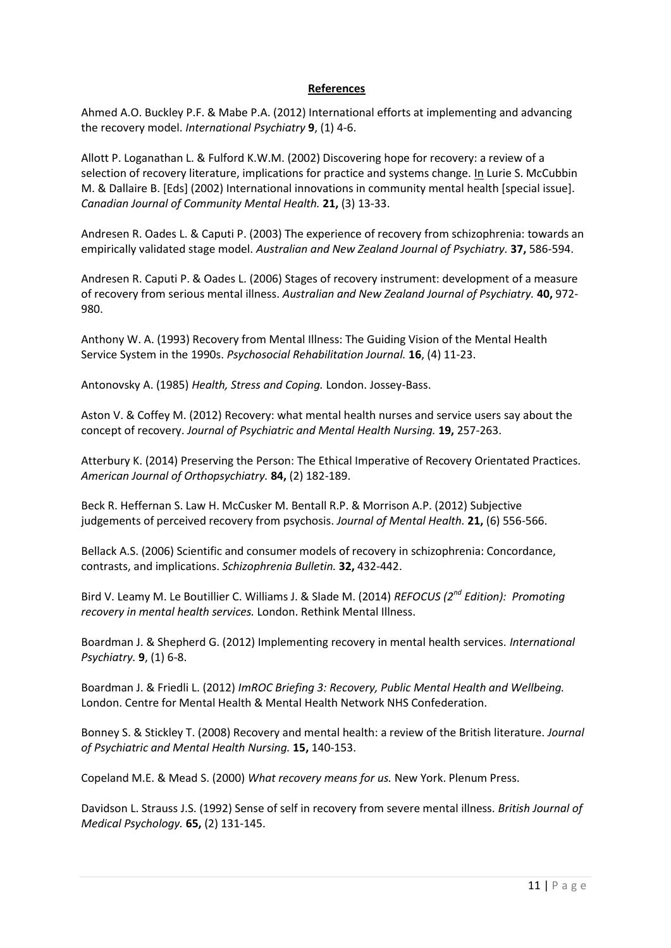## **References**

Ahmed A.O. Buckley P.F. & Mabe P.A. (2012) International efforts at implementing and advancing the recovery model. *International Psychiatry* **9**, (1) 4-6.

Allott P. Loganathan L. & Fulford K.W.M. (2002) Discovering hope for recovery: a review of a selection of recovery literature, implications for practice and systems change. In Lurie S. McCubbin M. & Dallaire B. [Eds] (2002) International innovations in community mental health [special issue]. *Canadian Journal of Community Mental Health.* **21,** (3) 13-33.

Andresen R. Oades L. & Caputi P. (2003) The experience of recovery from schizophrenia: towards an empirically validated stage model. *Australian and New Zealand Journal of Psychiatry.* **37,** 586-594.

Andresen R. Caputi P. & Oades L. (2006) Stages of recovery instrument: development of a measure of recovery from serious mental illness. *Australian and New Zealand Journal of Psychiatry.* **40,** 972- 980.

Anthony W. A. (1993) Recovery from Mental Illness: The Guiding Vision of the Mental Health Service System in the 1990s. *Psychosocial Rehabilitation Journal.* **16**, (4) 11-23.

Antonovsky A. (1985) *Health, Stress and Coping.* London. Jossey-Bass.

Aston V. & Coffey M. (2012) Recovery: what mental health nurses and service users say about the concept of recovery. *Journal of Psychiatric and Mental Health Nursing.* **19,** 257-263.

Atterbury K. (2014) Preserving the Person: The Ethical Imperative of Recovery Orientated Practices. *American Journal of Orthopsychiatry.* **84,** (2) 182-189.

Beck R. Heffernan S. Law H. McCusker M. Bentall R.P. & Morrison A.P. (2012) Subjective judgements of perceived recovery from psychosis. *Journal of Mental Health.* **21,** (6) 556-566.

Bellack A.S. (2006) Scientific and consumer models of recovery in schizophrenia: Concordance, contrasts, and implications. *Schizophrenia Bulletin.* **32,** 432-442.

Bird V. Leamy M. Le Boutillier C. Williams J. & Slade M. (2014) *REFOCUS (2nd Edition): Promoting recovery in mental health services.* London. Rethink Mental Illness.

Boardman J. & Shepherd G. (2012) Implementing recovery in mental health services. *International Psychiatry.* **9**, (1) 6-8.

Boardman J. & Friedli L. (2012) *ImROC Briefing 3: Recovery, Public Mental Health and Wellbeing.* London. Centre for Mental Health & Mental Health Network NHS Confederation.

Bonney S. & Stickley T. (2008) Recovery and mental health: a review of the British literature. *Journal of Psychiatric and Mental Health Nursing.* **15,** 140-153.

Copeland M.E. & Mead S. (2000) *What recovery means for us.* New York. Plenum Press.

Davidson L. Strauss J.S. (1992) Sense of self in recovery from severe mental illness. *British Journal of Medical Psychology.* **65,** (2) 131-145.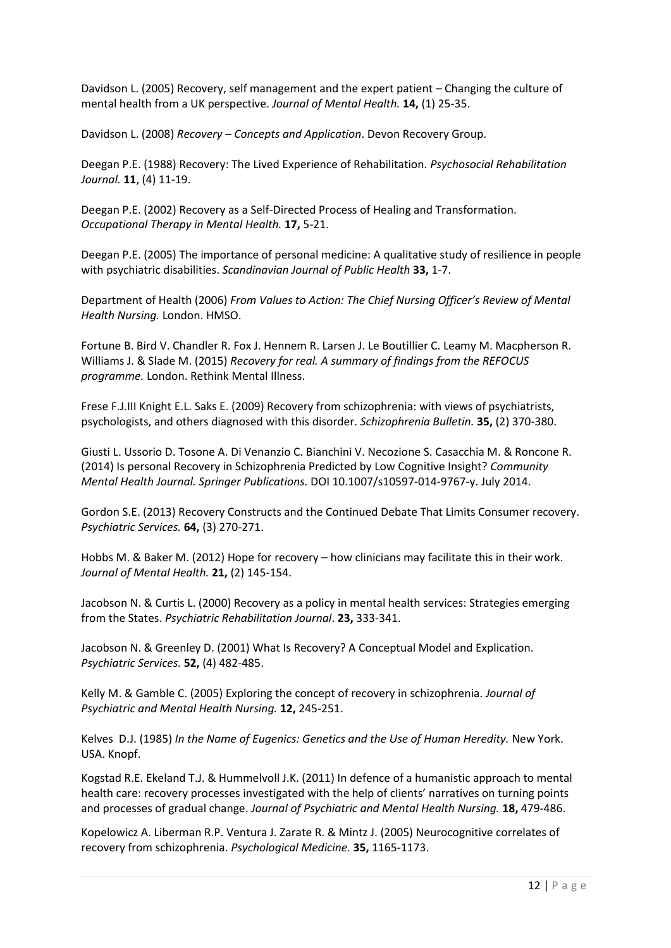Davidson L. (2005) Recovery, self management and the expert patient – Changing the culture of mental health from a UK perspective. *Journal of Mental Health.* **14,** (1) 25-35.

Davidson L. (2008) *Recovery – Concepts and Application*. Devon Recovery Group.

Deegan P.E. (1988) Recovery: The Lived Experience of Rehabilitation. *Psychosocial Rehabilitation Journal.* **11**, (4) 11-19.

Deegan P.E. (2002) Recovery as a Self-Directed Process of Healing and Transformation. *Occupational Therapy in Mental Health.* **17,** 5-21.

Deegan P.E. (2005) The importance of personal medicine: A qualitative study of resilience in people with psychiatric disabilities. *Scandinavian Journal of Public Health* **33,** 1-7.

Department of Health (2006) *From Values to Action: The Chief Nursing Officer's Review of Mental Health Nursing.* London. HMSO.

Fortune B. Bird V. Chandler R. Fox J. Hennem R. Larsen J. Le Boutillier C. Leamy M. Macpherson R. Williams J. & Slade M. (2015) *Recovery for real. A summary of findings from the REFOCUS programme.* London. Rethink Mental Illness.

Frese F.J.III Knight E.L. Saks E. (2009) Recovery from schizophrenia: with views of psychiatrists, psychologists, and others diagnosed with this disorder. *Schizophrenia Bulletin.* **35,** (2) 370-380.

Giusti L. Ussorio D. Tosone A. Di Venanzio C. Bianchini V. Necozione S. Casacchia M. & Roncone R. (2014) Is personal Recovery in Schizophrenia Predicted by Low Cognitive Insight? *Community Mental Health Journal. Springer Publications.* DOI 10.1007/s10597-014-9767-y. July 2014.

Gordon S.E. (2013) Recovery Constructs and the Continued Debate That Limits Consumer recovery. *Psychiatric Services.* **64,** (3) 270-271.

Hobbs M. & Baker M. (2012) Hope for recovery – how clinicians may facilitate this in their work. *Journal of Mental Health.* **21,** (2) 145-154.

Jacobson N. & Curtis L. (2000) Recovery as a policy in mental health services: Strategies emerging from the States. *Psychiatric Rehabilitation Journal*. **23,** 333-341.

Jacobson N. & Greenley D. (2001) What Is Recovery? A Conceptual Model and Explication. *Psychiatric Services.* **52,** (4) 482-485.

Kelly M. & Gamble C. (2005) Exploring the concept of recovery in schizophrenia. *Journal of Psychiatric and Mental Health Nursing.* **12,** 245-251.

Kelves D.J. (1985) *In the Name of Eugenics: Genetics and the Use of Human Heredity.* New York. USA. Knopf.

Kogstad R.E. Ekeland T.J. & Hummelvoll J.K. (2011) In defence of a humanistic approach to mental health care: recovery processes investigated with the help of clients' narratives on turning points and processes of gradual change. *Journal of Psychiatric and Mental Health Nursing.* **18,** 479-486.

Kopelowicz A. Liberman R.P. Ventura J. Zarate R. & Mintz J. (2005) Neurocognitive correlates of recovery from schizophrenia. *Psychological Medicine.* **35,** 1165-1173.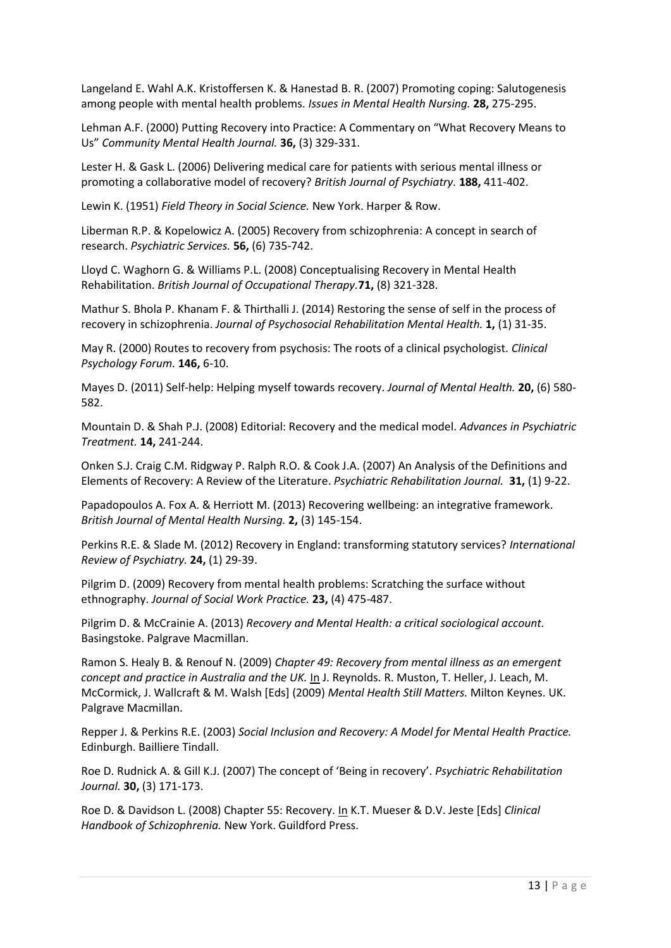Langeland E. Wahl A.K. Kristoffersen K. & Hanestad B. R. (2007) Promoting coping: Salutogenesis among people with mental health problems. *Issues in Mental Health Nursing.* **28,** 275-295.

Lehman A.F. (2000) Putting Recovery into Practice: A Commentary on "What Recovery Means to Us" *Community Mental Health Journal.* **36,** (3) 329-331.

Lester H. & Gask L. (2006) Delivering medical care for patients with serious mental illness or promoting a collaborative model of recovery? *British Journal of Psychiatry.* **188,** 411-402.

Lewin K. (1951) *Field Theory in Social Science.* New York. Harper & Row.

Liberman R.P. & Kopelowicz A. (2005) Recovery from schizophrenia: A concept in search of research. *Psychiatric Services.* **56,** (6) 735-742.

Lloyd C. Waghorn G. & Williams P.L. (2008) Conceptualising Recovery in Mental Health Rehabilitation. *British Journal of Occupational Therapy.***71,** (8) 321-328.

Mathur S. Bhola P. Khanam F. & Thirthalli J. (2014) Restoring the sense of self in the process of recovery in schizophrenia. *Journal of Psychosocial Rehabilitation Mental Health.* **1,** (1) 31-35.

May R. (2000) Routes to recovery from psychosis: The roots of a clinical psychologist. *Clinical Psychology Forum.* **146,** 6-10.

Mayes D. (2011) Self-help: Helping myself towards recovery. *Journal of Mental Health.* **20,** (6) 580- 582.

Mountain D. & Shah P.J. (2008) Editorial: Recovery and the medical model. *Advances in Psychiatric Treatment.* **14,** 241-244.

Onken S.J. Craig C.M. Ridgway P. Ralph R.O. & Cook J.A. (2007) An Analysis of the Definitions and Elements of Recovery: A Review of the Literature. *Psychiatric Rehabilitation Journal.* **31,** (1) 9-22.

Papadopoulos A. Fox A. & Herriott M. (2013) Recovering wellbeing: an integrative framework. *British Journal of Mental Health Nursing.* **2,** (3) 145-154.

Perkins R.E. & Slade M. (2012) Recovery in England: transforming statutory services? *International Review of Psychiatry.* **24,** (1) 29-39.

Pilgrim D. (2009) Recovery from mental health problems: Scratching the surface without ethnography. *Journal of Social Work Practice.* **23,** (4) 475-487.

Pilgrim D. & McCrainie A. (2013) *Recovery and Mental Health: a critical sociological account.* Basingstoke. Palgrave Macmillan.

Ramon S. Healy B. & Renouf N. (2009) *Chapter 49: Recovery from mental illness as an emergent concept and practice in Australia and the UK.* In J. Reynolds. R. Muston, T. Heller, J. Leach, M. McCormick, J. Wallcraft & M. Walsh [Eds] (2009) *Mental Health Still Matters.* Milton Keynes. UK. Palgrave Macmillan.

Repper J. & Perkins R.E. (2003) *Social Inclusion and Recovery: A Model for Mental Health Practice.* Edinburgh. Bailliere Tindall.

Roe D. Rudnick A. & Gill K.J. (2007) The concept of 'Being in recovery'. *Psychiatric Rehabilitation Journal.* **30,** (3) 171-173.

Roe D. & Davidson L. (2008) Chapter 55: Recovery. In K.T. Mueser & D.V. Jeste [Eds] *Clinical Handbook of Schizophrenia.* New York. Guildford Press.